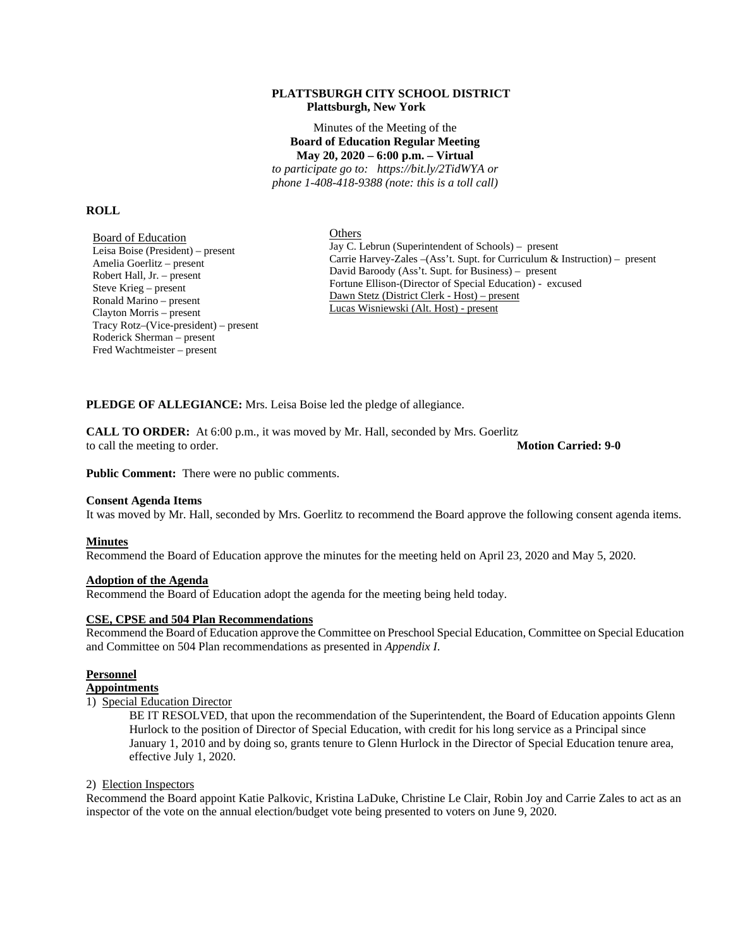#### **PLATTSBURGH CITY SCHOOL DISTRICT Plattsburgh, New York**

Minutes of the Meeting of the **Board of Education Regular Meeting May 20, 2020 – 6:00 p.m. – Virtual** 

*to participate go to: https://bit.ly/2TidWYA or phone 1-408-418-9388 (note: this is a toll call)* 

#### **ROLL**

Board of Education Leisa Boise (President) – present Amelia Goerlitz – present Robert Hall, Jr. – present Steve Krieg – present Ronald Marino – present Clayton Morris – present Tracy Rotz–(Vice-president) – present Roderick Sherman – present Fred Wachtmeister – present

**Others** 

Jay C. Lebrun (Superintendent of Schools) – present Carrie Harvey-Zales –(Ass't. Supt. for Curriculum & Instruction) – present David Baroody (Ass't. Supt. for Business) – present Fortune Ellison-(Director of Special Education) - excused Dawn Stetz (District Clerk - Host) – present Lucas Wisniewski (Alt. Host) - present

**PLEDGE OF ALLEGIANCE:** Mrs. Leisa Boise led the pledge of allegiance.

**CALL TO ORDER:** At 6:00 p.m., it was moved by Mr. Hall, seconded by Mrs. Goerlitz to call the meeting to order. **Motion Carried: 9-0**

**Public Comment:** There were no public comments.

#### **Consent Agenda Items**

It was moved by Mr. Hall, seconded by Mrs. Goerlitz to recommend the Board approve the following consent agenda items.

#### **Minutes**

Recommend the Board of Education approve the minutes for the meeting held on April 23, 2020 and May 5, 2020.

#### **Adoption of the Agenda**

Recommend the Board of Education adopt the agenda for the meeting being held today.

#### **CSE, CPSE and 504 Plan Recommendations**

Recommend the Board of Education approve the Committee on Preschool Special Education, Committee on Special Education and Committee on 504 Plan recommendations as presented in *Appendix I*.

## **Personnel**

#### **Appointments**

#### 1) Special Education Director

BE IT RESOLVED, that upon the recommendation of the Superintendent, the Board of Education appoints Glenn Hurlock to the position of Director of Special Education, with credit for his long service as a Principal since January 1, 2010 and by doing so, grants tenure to Glenn Hurlock in the Director of Special Education tenure area, effective July 1, 2020.

#### 2) Election Inspectors

Recommend the Board appoint Katie Palkovic, Kristina LaDuke, Christine Le Clair, Robin Joy and Carrie Zales to act as an inspector of the vote on the annual election/budget vote being presented to voters on June 9, 2020.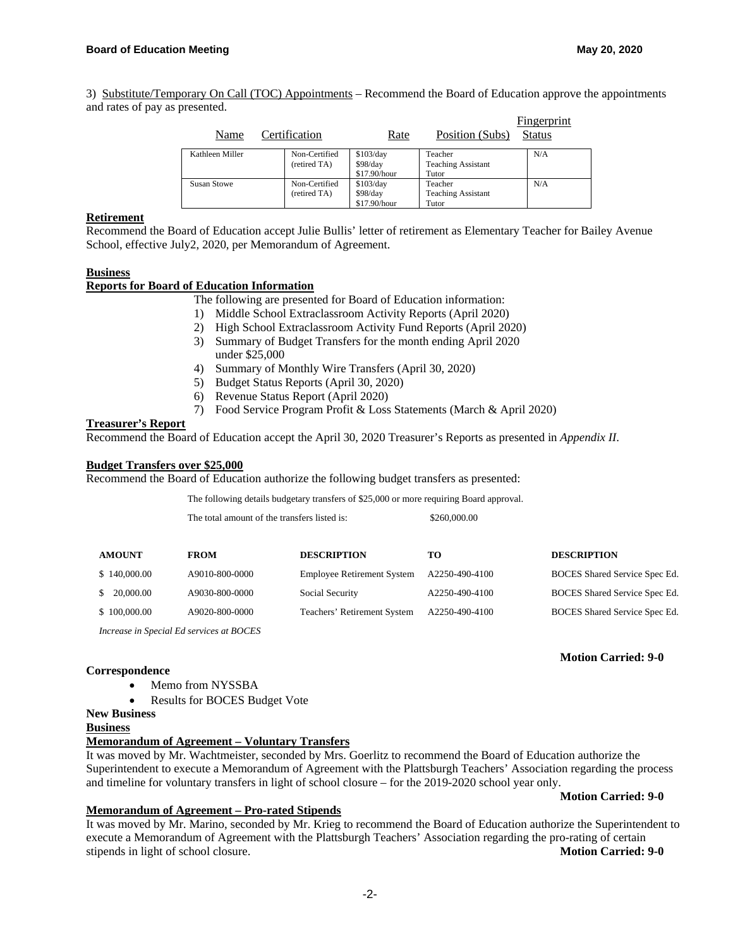3) Substitute/Temporary On Call (TOC) Appointments – Recommend the Board of Education approve the appointments and rates of pay as presented.

| Name               | Certification                 | Rate                                  | Position (Subs)                               | Fingerprint<br><b>Status</b> |
|--------------------|-------------------------------|---------------------------------------|-----------------------------------------------|------------------------------|
| Kathleen Miller    | Non-Certified<br>(retired TA) | \$103/day<br>\$98/day<br>\$17.90/hour | Teacher<br><b>Teaching Assistant</b><br>Tutor | N/A                          |
| <b>Susan Stowe</b> | Non-Certified<br>(retired TA) | \$103/day<br>\$98/day<br>\$17.90/hour | Teacher<br><b>Teaching Assistant</b><br>Tutor | N/A                          |

# **Retirement**

Recommend the Board of Education accept Julie Bullis' letter of retirement as Elementary Teacher for Bailey Avenue School, effective July2, 2020, per Memorandum of Agreement.

#### **Business**

#### **Reports for Board of Education Information**

The following are presented for Board of Education information:

- 1) Middle School Extraclassroom Activity Reports (April 2020)
- 2) High School Extraclassroom Activity Fund Reports (April 2020)
- 3) Summary of Budget Transfers for the month ending April 2020 under \$25,000
- 4) Summary of Monthly Wire Transfers (April 30, 2020)
- 5) Budget Status Reports (April 30, 2020)
- 6) Revenue Status Report (April 2020)
- 7) Food Service Program Profit & Loss Statements (March & April 2020)

### **Treasurer's Report**

Recommend the Board of Education accept the April 30, 2020 Treasurer's Reports as presented in *Appendix II*.

#### **Budget Transfers over \$25,000**

Recommend the Board of Education authorize the following budget transfers as presented:

The following details budgetary transfers of \$25,000 or more requiring Board approval.

The total amount of the transfers listed is:  $\$\$ 

| 260,000.00 |  |
|------------|--|
|------------|--|

| <b>AMOUNT</b> | <b>FROM</b>    | <b>DESCRIPTION</b>                | то             | <b>DESCRIPTION</b>                   |
|---------------|----------------|-----------------------------------|----------------|--------------------------------------|
| \$140,000.00  | A9010-800-0000 | <b>Employee Retirement System</b> | A2250-490-4100 | <b>BOCES</b> Shared Service Spec Ed. |
| \$20,000,00   | A9030-800-0000 | Social Security                   | A2250-490-4100 | BOCES Shared Service Spec Ed.        |
| \$100,000.00  | A9020-800-0000 | Teachers' Retirement System       | A2250-490-4100 | <b>BOCES</b> Shared Service Spec Ed. |

*Increase in Special Ed services at BOCES*

#### **Correspondence**

- Memo from NYSSBA
- Results for BOCES Budget Vote

## **New Business**

#### **Business**

# **Memorandum of Agreement – Voluntary Transfers**

It was moved by Mr. Wachtmeister, seconded by Mrs. Goerlitz to recommend the Board of Education authorize the Superintendent to execute a Memorandum of Agreement with the Plattsburgh Teachers' Association regarding the process and timeline for voluntary transfers in light of school closure – for the 2019-2020 school year only.

#### **Motion Carried: 9-0**

 **Motion Carried: 9-0** 

## **Memorandum of Agreement – Pro-rated Stipends**

It was moved by Mr. Marino, seconded by Mr. Krieg to recommend the Board of Education authorize the Superintendent to execute a Memorandum of Agreement with the Plattsburgh Teachers' Association regarding the pro-rating of certain stipends in light of school closure. **Motion Carried: 9-0**